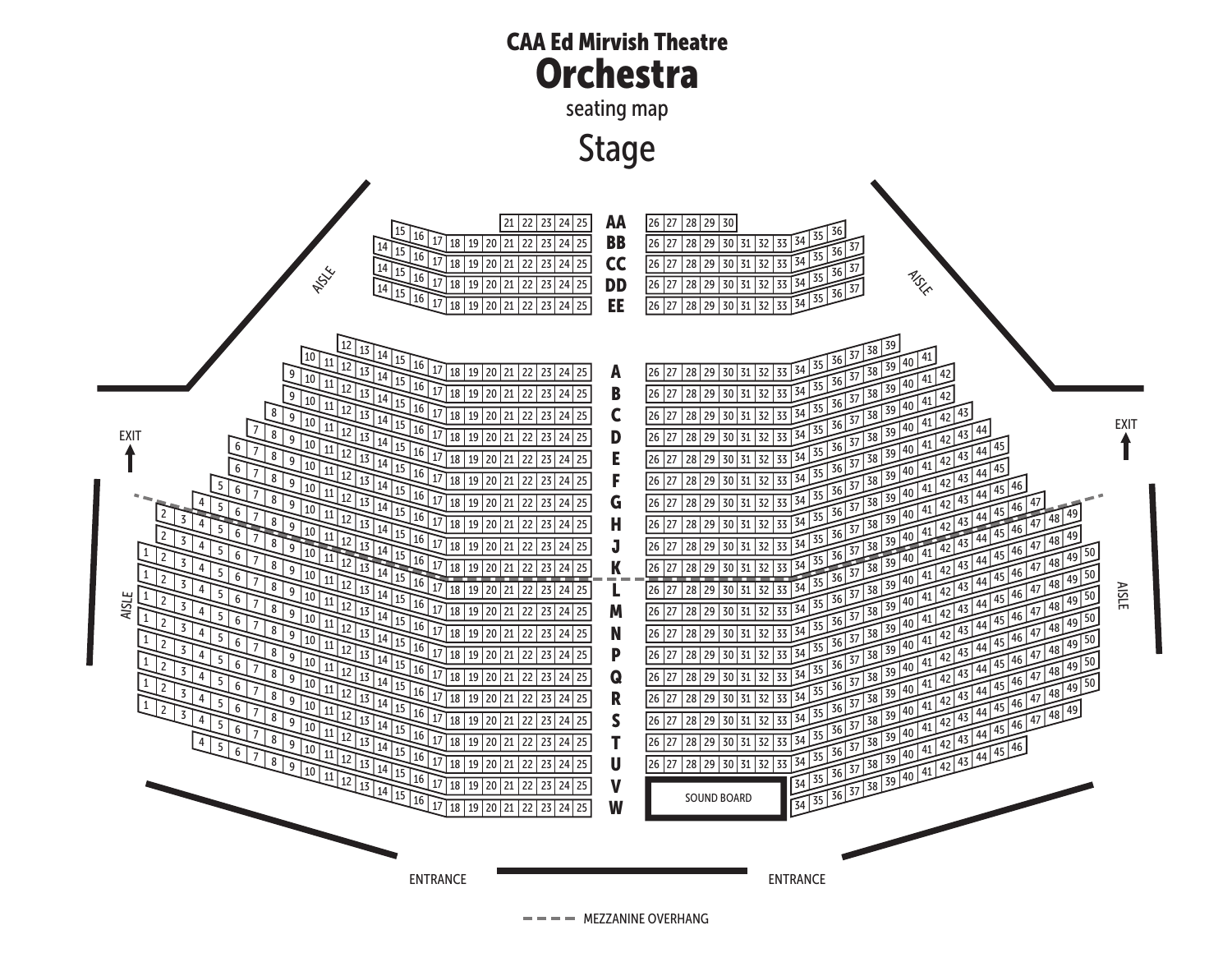